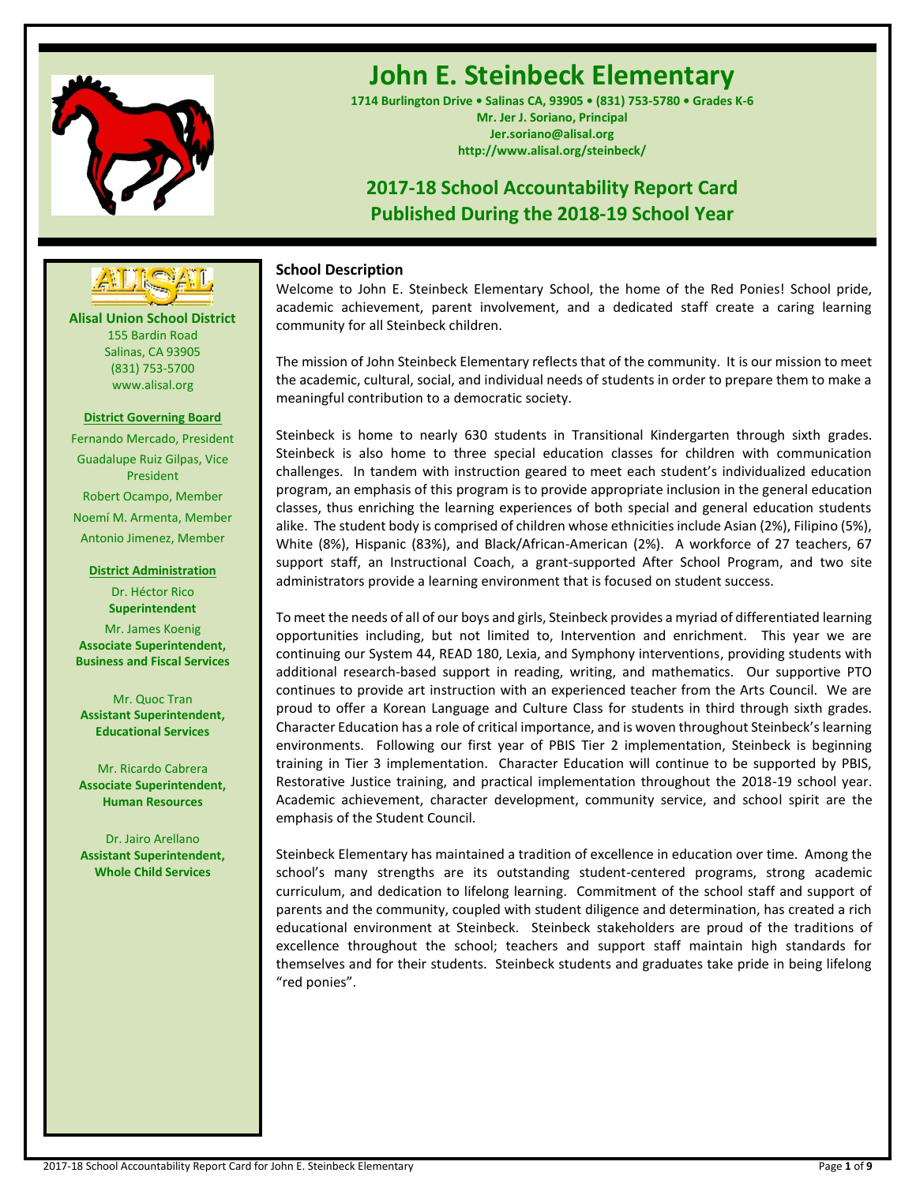

# **John E. Steinbeck Elementary**

**1714 Burlington Drive • Salinas CA, 93905 • (831) 753-5780 • Grades K-6 Mr. Jer J. Soriano, Principal Jer.soriano@alisal.org http://www.alisal.org/steinbeck/**

## **2017-18 School Accountability Report Card Published During the 2018-19 School Year**

## **School Description**

Welcome to John E. Steinbeck Elementary School, the home of the Red Ponies! School pride, academic achievement, parent involvement, and a dedicated staff create a caring learning community for all Steinbeck children.

The mission of John Steinbeck Elementary reflects that of the community. It is our mission to meet the academic, cultural, social, and individual needs of students in order to prepare them to make a meaningful contribution to a democratic society.

Steinbeck is home to nearly 630 students in Transitional Kindergarten through sixth grades. Steinbeck is also home to three special education classes for children with communication challenges. In tandem with instruction geared to meet each student's individualized education program, an emphasis of this program is to provide appropriate inclusion in the general education classes, thus enriching the learning experiences of both special and general education students alike. The student body is comprised of children whose ethnicities include Asian (2%), Filipino (5%), White (8%), Hispanic (83%), and Black/African-American (2%). A workforce of 27 teachers, 67 support staff, an Instructional Coach, a grant-supported After School Program, and two site administrators provide a learning environment that is focused on student success.

To meet the needs of all of our boys and girls, Steinbeck provides a myriad of differentiated learning opportunities including, but not limited to, Intervention and enrichment. This year we are continuing our System 44, READ 180, Lexia, and Symphony interventions, providing students with additional research-based support in reading, writing, and mathematics. Our supportive PTO continues to provide art instruction with an experienced teacher from the Arts Council. We are proud to offer a Korean Language and Culture Class for students in third through sixth grades. Character Education has a role of critical importance, and is woven throughout Steinbeck's learning environments. Following our first year of PBIS Tier 2 implementation, Steinbeck is beginning training in Tier 3 implementation. Character Education will continue to be supported by PBIS, Restorative Justice training, and practical implementation throughout the 2018-19 school year. Academic achievement, character development, community service, and school spirit are the emphasis of the Student Council.

Steinbeck Elementary has maintained a tradition of excellence in education over time. Among the school's many strengths are its outstanding student-centered programs, strong academic curriculum, and dedication to lifelong learning. Commitment of the school staff and support of parents and the community, coupled with student diligence and determination, has created a rich educational environment at Steinbeck. Steinbeck stakeholders are proud of the traditions of excellence throughout the school; teachers and support staff maintain high standards for themselves and for their students. Steinbeck students and graduates take pride in being lifelong "red ponies".

**Alisal Union School District** 155 Bardin Road Salinas, CA 93905 **---- ----**

(831) 753-5700 www.alisal.org **District Governing Board** Fernando Mercado, President

Guadalupe Ruiz Gilpas, Vice President Robert Ocampo, Member Noemí M. Armenta, Member Antonio Jimenez, Member

**District Administration** Dr. Héctor Rico **Superintendent**

Mr. James Koenig **Associate Superintendent, Business and Fiscal Services**

Mr. Quoc Tran **Assistant Superintendent, Educational Services**

Mr. Ricardo Cabrera **Associate Superintendent, Human Resources**

Dr. Jairo Arellano **Assistant Superintendent, Whole Child Services**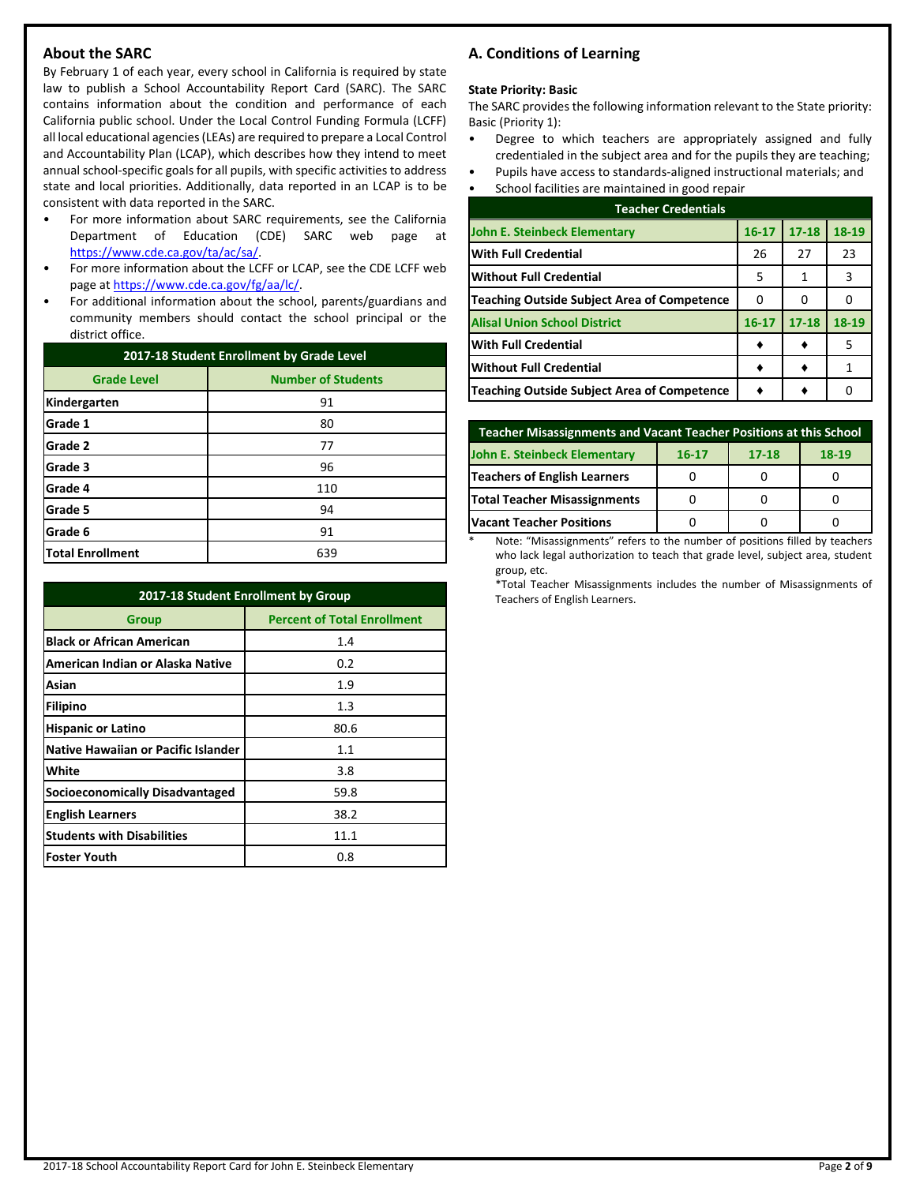## **About the SARC**

By February 1 of each year, every school in California is required by state law to publish a School Accountability Report Card (SARC). The SARC contains information about the condition and performance of each California public school. Under the Local Control Funding Formula (LCFF) all local educational agencies (LEAs) are required to prepare a Local Control and Accountability Plan (LCAP), which describes how they intend to meet annual school-specific goals for all pupils, with specific activities to address state and local priorities. Additionally, data reported in an LCAP is to be consistent with data reported in the SARC.

- For more information about SARC requirements, see the California Department of Education (CDE) SARC web page at [https://www.cde.ca.gov/ta/ac/sa/.](https://www.cde.ca.gov/ta/ac/sa/)
- For more information about the LCFF or LCAP, see the CDE LCFF web page at [https://www.cde.ca.gov/fg/aa/lc/.](https://www.cde.ca.gov/fg/aa/lc/)
- For additional information about the school, parents/guardians and community members should contact the school principal or the district office.

| 2017-18 Student Enrollment by Grade Level |                           |  |  |  |
|-------------------------------------------|---------------------------|--|--|--|
| <b>Grade Level</b>                        | <b>Number of Students</b> |  |  |  |
| Kindergarten                              | 91                        |  |  |  |
| Grade 1                                   | 80                        |  |  |  |
| Grade 2                                   | 77                        |  |  |  |
| Grade 3                                   | 96                        |  |  |  |
| Grade 4                                   | 110                       |  |  |  |
| Grade 5                                   | 94                        |  |  |  |
| Grade 6                                   | 91                        |  |  |  |
| <b>Total Enrollment</b>                   | 639                       |  |  |  |

| 2017-18 Student Enrollment by Group        |                                    |  |  |  |  |
|--------------------------------------------|------------------------------------|--|--|--|--|
| Group                                      | <b>Percent of Total Enrollment</b> |  |  |  |  |
| <b>Black or African American</b>           | 1.4                                |  |  |  |  |
| American Indian or Alaska Native           | 0.2                                |  |  |  |  |
| Asian                                      | 1.9                                |  |  |  |  |
| Filipino                                   | 1.3                                |  |  |  |  |
| <b>Hispanic or Latino</b>                  | 80.6                               |  |  |  |  |
| <b>Native Hawaiian or Pacific Islander</b> | 1.1                                |  |  |  |  |
| White                                      | 3.8                                |  |  |  |  |
| <b>Socioeconomically Disadvantaged</b>     | 59.8                               |  |  |  |  |
| <b>English Learners</b>                    | 38.2                               |  |  |  |  |
| <b>Students with Disabilities</b>          | 11.1                               |  |  |  |  |
| <b>Foster Youth</b>                        | 0.8                                |  |  |  |  |

## **A. Conditions of Learning**

#### **State Priority: Basic**

The SARC provides the following information relevant to the State priority: Basic (Priority 1):

- Degree to which teachers are appropriately assigned and fully credentialed in the subject area and for the pupils they are teaching;
- Pupils have access to standards-aligned instructional materials; and
- School facilities are maintained in good repair

| <b>Teacher Credentials</b>                         |           |           |       |  |  |
|----------------------------------------------------|-----------|-----------|-------|--|--|
| John E. Steinbeck Elementary                       | $16 - 17$ | $17 - 18$ | 18-19 |  |  |
| <b>With Full Credential</b>                        | 26        | 27        | 23    |  |  |
| Without Full Credential                            | 5         | 1         | 3     |  |  |
| <b>Teaching Outside Subject Area of Competence</b> | 0         | o         |       |  |  |
| <b>Alisal Union School District</b>                | $16 - 17$ | $17 - 18$ | 18-19 |  |  |
| <b>With Full Credential</b>                        |           |           | 5     |  |  |
| <b>Without Full Credential</b>                     |           |           |       |  |  |
| <b>Teaching Outside Subject Area of Competence</b> |           |           |       |  |  |

| <b>Teacher Misassignments and Vacant Teacher Positions at this School</b> |  |  |  |  |  |  |  |
|---------------------------------------------------------------------------|--|--|--|--|--|--|--|
| John E. Steinbeck Elementary<br>$18-19$<br>$17 - 18$<br>$16 - 17$         |  |  |  |  |  |  |  |
| Teachers of English Learners                                              |  |  |  |  |  |  |  |
| Total Teacher Misassignments                                              |  |  |  |  |  |  |  |
| <b>Vacant Teacher Positions</b>                                           |  |  |  |  |  |  |  |

Note: "Misassignments" refers to the number of positions filled by teachers who lack legal authorization to teach that grade level, subject area, student group, etc.

\*Total Teacher Misassignments includes the number of Misassignments of Teachers of English Learners.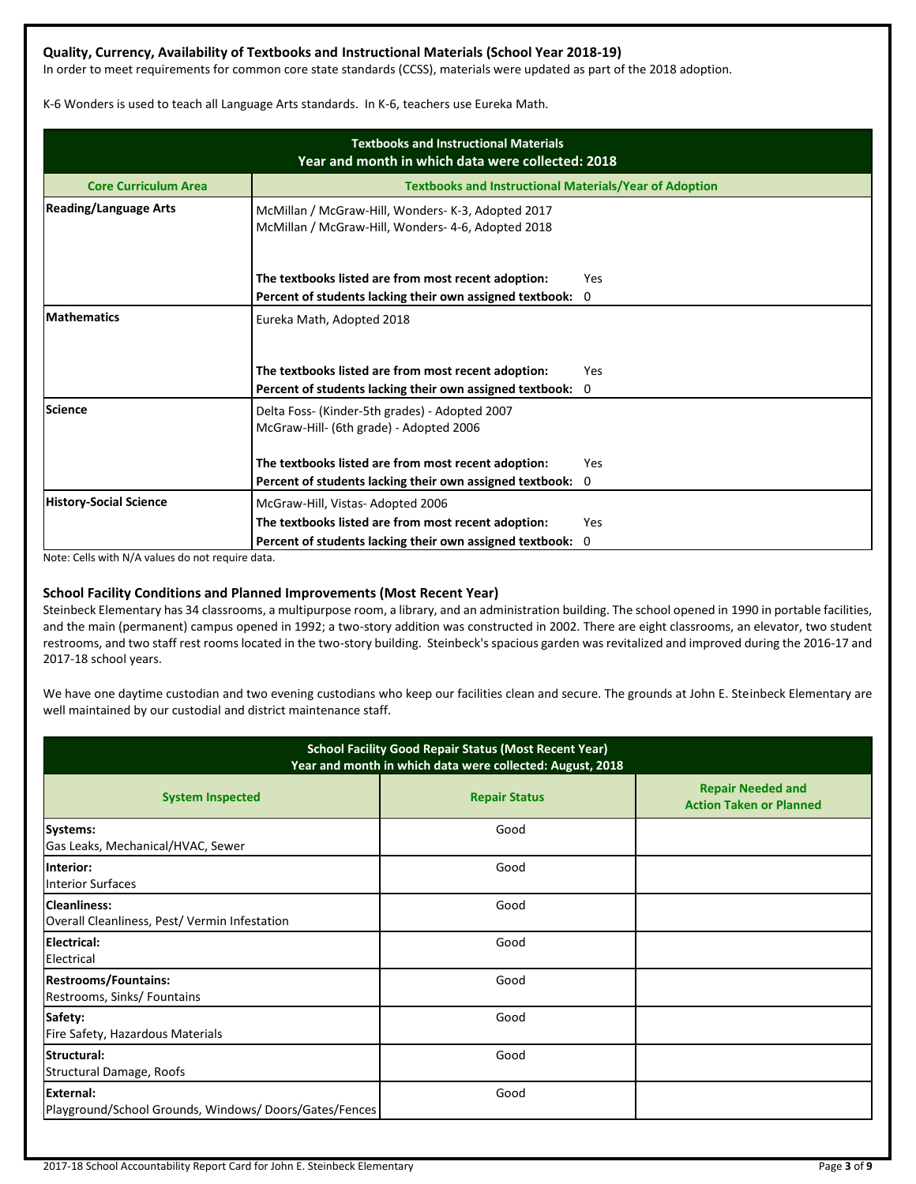## **Quality, Currency, Availability of Textbooks and Instructional Materials (School Year 2018-19)**

In order to meet requirements for common core state standards (CCSS), materials were updated as part of the 2018 adoption.

K-6 Wonders is used to teach all Language Arts standards. In K-6, teachers use Eureka Math.

| <b>Textbooks and Instructional Materials</b><br>Year and month in which data were collected: 2018 |                                                                                                                 |                    |  |  |  |  |
|---------------------------------------------------------------------------------------------------|-----------------------------------------------------------------------------------------------------------------|--------------------|--|--|--|--|
| <b>Core Curriculum Area</b>                                                                       | <b>Textbooks and Instructional Materials/Year of Adoption</b>                                                   |                    |  |  |  |  |
| <b>Reading/Language Arts</b>                                                                      | McMillan / McGraw-Hill, Wonders- K-3, Adopted 2017<br>McMillan / McGraw-Hill, Wonders- 4-6, Adopted 2018        |                    |  |  |  |  |
|                                                                                                   | The textbooks listed are from most recent adoption:                                                             | Yes                |  |  |  |  |
| <b>Mathematics</b>                                                                                | Percent of students lacking their own assigned textbook:<br>Eureka Math, Adopted 2018                           | 0                  |  |  |  |  |
|                                                                                                   | The textbooks listed are from most recent adoption:<br>Percent of students lacking their own assigned textbook: | Yes<br>$\Omega$    |  |  |  |  |
| <b>Science</b>                                                                                    | Delta Foss- (Kinder-5th grades) - Adopted 2007<br>McGraw-Hill- (6th grade) - Adopted 2006                       |                    |  |  |  |  |
|                                                                                                   | The textbooks listed are from most recent adoption:<br>Percent of students lacking their own assigned textbook: | Yes<br>$\mathbf 0$ |  |  |  |  |
| <b>History-Social Science</b>                                                                     | McGraw-Hill, Vistas-Adopted 2006                                                                                |                    |  |  |  |  |
|                                                                                                   | The textbooks listed are from most recent adoption:                                                             | Yes                |  |  |  |  |
|                                                                                                   | Percent of students lacking their own assigned textbook:                                                        | 0                  |  |  |  |  |

Note: Cells with N/A values do not require data.

### **School Facility Conditions and Planned Improvements (Most Recent Year)**

Steinbeck Elementary has 34 classrooms, a multipurpose room, a library, and an administration building. The school opened in 1990 in portable facilities, and the main (permanent) campus opened in 1992; a two-story addition was constructed in 2002. There are eight classrooms, an elevator, two student restrooms, and two staff rest rooms located in the two-story building. Steinbeck's spacious garden was revitalized and improved during the 2016-17 and 2017-18 school years.

We have one daytime custodian and two evening custodians who keep our facilities clean and secure. The grounds at John E. Steinbeck Elementary are well maintained by our custodial and district maintenance staff.

| <b>School Facility Good Repair Status (Most Recent Year)</b><br>Year and month in which data were collected: August, 2018 |                      |                                                            |  |  |  |
|---------------------------------------------------------------------------------------------------------------------------|----------------------|------------------------------------------------------------|--|--|--|
| <b>System Inspected</b>                                                                                                   | <b>Repair Status</b> | <b>Repair Needed and</b><br><b>Action Taken or Planned</b> |  |  |  |
| Systems:<br>Gas Leaks, Mechanical/HVAC, Sewer                                                                             | Good                 |                                                            |  |  |  |
| Interior:<br><b>Interior Surfaces</b>                                                                                     | Good                 |                                                            |  |  |  |
| <b>Cleanliness:</b><br>Overall Cleanliness, Pest/Vermin Infestation                                                       | Good                 |                                                            |  |  |  |
| <b>Electrical:</b><br>Electrical                                                                                          | Good                 |                                                            |  |  |  |
| <b>Restrooms/Fountains:</b><br>Restrooms, Sinks/ Fountains                                                                | Good                 |                                                            |  |  |  |
| Safety:<br>Fire Safety, Hazardous Materials                                                                               | Good                 |                                                            |  |  |  |
| <b>Structural:</b><br>Structural Damage, Roofs                                                                            | Good                 |                                                            |  |  |  |
| External:<br>Playground/School Grounds, Windows/Doors/Gates/Fences                                                        | Good                 |                                                            |  |  |  |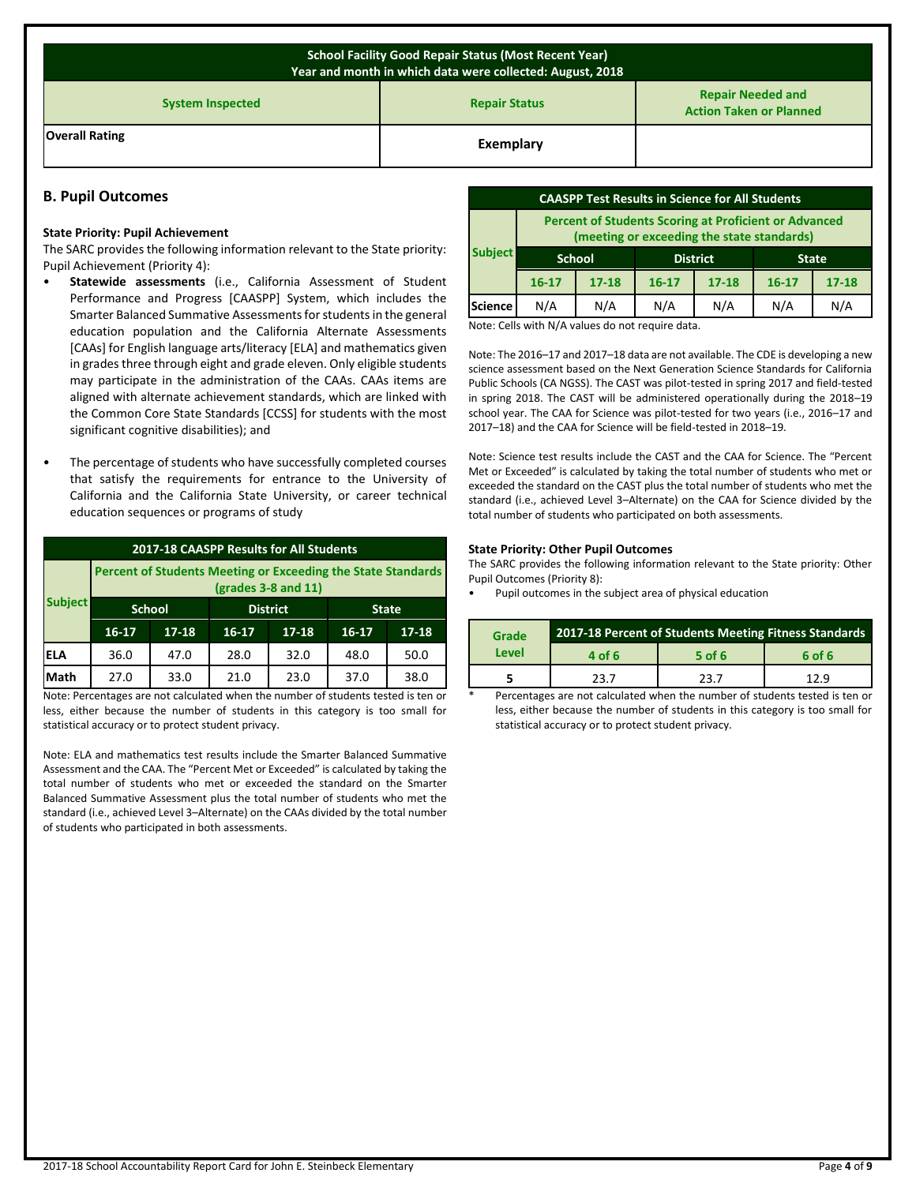| <b>School Facility Good Repair Status (Most Recent Year)</b><br>Year and month in which data were collected: August, 2018 |           |  |  |  |  |  |
|---------------------------------------------------------------------------------------------------------------------------|-----------|--|--|--|--|--|
| <b>Repair Needed and</b><br><b>Repair Status</b><br><b>System Inspected</b><br><b>Action Taken or Planned</b>             |           |  |  |  |  |  |
| <b>Overall Rating</b>                                                                                                     | Exemplary |  |  |  |  |  |

## **B. Pupil Outcomes**

#### **State Priority: Pupil Achievement**

The SARC provides the following information relevant to the State priority: Pupil Achievement (Priority 4):

- **Statewide assessments** (i.e., California Assessment of Student Performance and Progress [CAASPP] System, which includes the Smarter Balanced Summative Assessments for students in the general education population and the California Alternate Assessments [CAAs] for English language arts/literacy [ELA] and mathematics given in grades three through eight and grade eleven. Only eligible students may participate in the administration of the CAAs. CAAs items are aligned with alternate achievement standards, which are linked with the Common Core State Standards [CCSS] for students with the most significant cognitive disabilities); and
- The percentage of students who have successfully completed courses that satisfy the requirements for entrance to the University of California and the California State University, or career technical education sequences or programs of study

| 2017-18 CAASPP Results for All Students                                                    |           |               |                 |           |              |           |
|--------------------------------------------------------------------------------------------|-----------|---------------|-----------------|-----------|--------------|-----------|
| <b>Percent of Students Meeting or Exceeding the State Standards</b><br>(grades 3-8 and 11) |           |               |                 |           |              |           |
| <b>Subject</b>                                                                             |           | <b>School</b> | <b>District</b> |           | <b>State</b> |           |
|                                                                                            | $16 - 17$ | $17 - 18$     | $16 - 17$       | $17 - 18$ | $16-17$      | $17 - 18$ |
| <b>ELA</b>                                                                                 | 36.0      | 47.0          | 28.0            | 32.0      | 48.0         | 50.0      |
| Math                                                                                       | 27.0      | 33.0          | 21.0            | 23.0      | 37.0         | 38.0      |
| .                                                                                          |           |               |                 |           | .            |           |

Note: Percentages are not calculated when the number of students tested is ten or less, either because the number of students in this category is too small for statistical accuracy or to protect student privacy.

Note: ELA and mathematics test results include the Smarter Balanced Summative Assessment and the CAA. The "Percent Met or Exceeded" is calculated by taking the total number of students who met or exceeded the standard on the Smarter Balanced Summative Assessment plus the total number of students who met the standard (i.e., achieved Level 3–Alternate) on the CAAs divided by the total number of students who participated in both assessments.

| <b>CAASPP Test Results in Science for All Students</b>                                                     |                                                  |           |           |           |           |           |
|------------------------------------------------------------------------------------------------------------|--------------------------------------------------|-----------|-----------|-----------|-----------|-----------|
| <b>Percent of Students Scoring at Proficient or Advanced</b><br>(meeting or exceeding the state standards) |                                                  |           |           |           |           |           |
| <b>Subject</b>                                                                                             | <b>District</b><br><b>School</b><br><b>State</b> |           |           |           |           |           |
|                                                                                                            | $16 - 17$                                        | $17 - 18$ | $16 - 17$ | $17 - 18$ | $16 - 17$ | $17 - 18$ |
| <b>Science</b>                                                                                             | N/A                                              | N/A       | N/A       | N/A       | N/A       | N/A       |

Note: Cells with N/A values do not require data.

Note: The 2016–17 and 2017–18 data are not available. The CDE is developing a new science assessment based on the Next Generation Science Standards for California Public Schools (CA NGSS). The CAST was pilot-tested in spring 2017 and field-tested in spring 2018. The CAST will be administered operationally during the 2018–19 school year. The CAA for Science was pilot-tested for two years (i.e., 2016–17 and 2017–18) and the CAA for Science will be field-tested in 2018–19.

Note: Science test results include the CAST and the CAA for Science. The "Percent Met or Exceeded" is calculated by taking the total number of students who met or exceeded the standard on the CAST plus the total number of students who met the standard (i.e., achieved Level 3–Alternate) on the CAA for Science divided by the total number of students who participated on both assessments.

#### **State Priority: Other Pupil Outcomes**

The SARC provides the following information relevant to the State priority: Other Pupil Outcomes (Priority 8):

• Pupil outcomes in the subject area of physical education

| Grade | 2017-18 Percent of Students Meeting Fitness Standards |        |        |  |  |
|-------|-------------------------------------------------------|--------|--------|--|--|
| Level | 4 of 6                                                | 5 of 6 | 6 of 6 |  |  |
|       | 23 Z                                                  | 23 Z   | 1 2 Q  |  |  |

Percentages are not calculated when the number of students tested is ten or less, either because the number of students in this category is too small for statistical accuracy or to protect student privacy.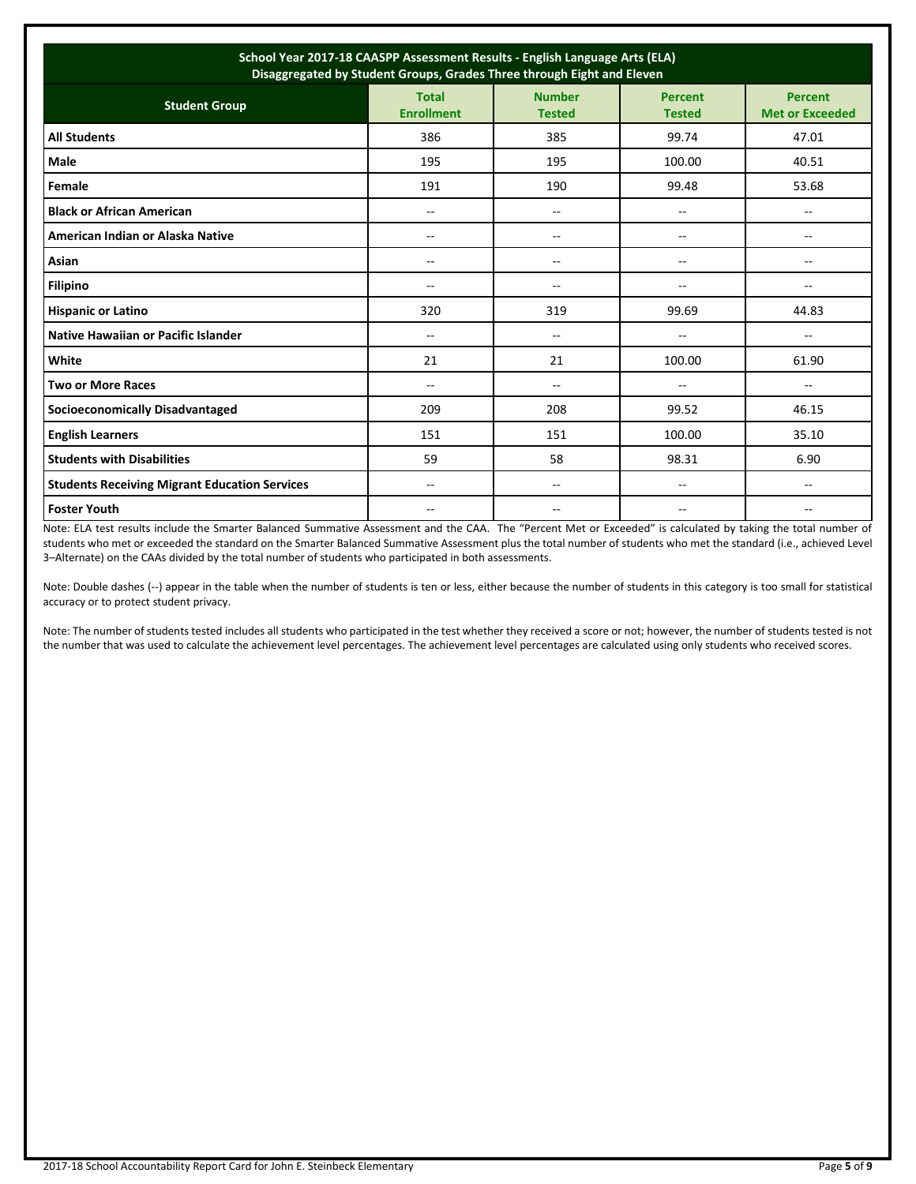| School Year 2017-18 CAASPP Assessment Results - English Language Arts (ELA)<br>Disaggregated by Student Groups, Grades Three through Eight and Eleven |                                   |                                |                                 |                                          |  |
|-------------------------------------------------------------------------------------------------------------------------------------------------------|-----------------------------------|--------------------------------|---------------------------------|------------------------------------------|--|
| <b>Student Group</b>                                                                                                                                  | <b>Total</b><br><b>Enrollment</b> | <b>Number</b><br><b>Tested</b> | <b>Percent</b><br><b>Tested</b> | <b>Percent</b><br><b>Met or Exceeded</b> |  |
| <b>All Students</b>                                                                                                                                   | 386                               | 385                            | 99.74                           | 47.01                                    |  |
| <b>Male</b>                                                                                                                                           | 195                               | 195                            | 100.00                          | 40.51                                    |  |
| Female                                                                                                                                                | 191                               | 190                            | 99.48                           | 53.68                                    |  |
| <b>Black or African American</b>                                                                                                                      | --                                | $-$                            | --                              | --                                       |  |
| American Indian or Alaska Native                                                                                                                      | --                                | --                             | --                              | --                                       |  |
| Asian                                                                                                                                                 | $-$                               | --                             | --                              | $\overline{\phantom{a}}$                 |  |
| <b>Filipino</b>                                                                                                                                       | $-$                               | --                             | --                              | $- -$                                    |  |
| <b>Hispanic or Latino</b>                                                                                                                             | 320                               | 319                            | 99.69                           | 44.83                                    |  |
| Native Hawaiian or Pacific Islander                                                                                                                   | $-$                               | $- -$                          | --                              | $- -$                                    |  |
| White                                                                                                                                                 | 21                                | 21                             | 100.00                          | 61.90                                    |  |
| <b>Two or More Races</b>                                                                                                                              | --                                | --                             | --                              | $\overline{\phantom{a}}$                 |  |
| <b>Socioeconomically Disadvantaged</b>                                                                                                                | 209                               | 208                            | 99.52                           | 46.15                                    |  |
| <b>English Learners</b>                                                                                                                               | 151                               | 151                            | 100.00                          | 35.10                                    |  |
| <b>Students with Disabilities</b>                                                                                                                     | 59                                | 58                             | 98.31                           | 6.90                                     |  |
| <b>Students Receiving Migrant Education Services</b>                                                                                                  | $-$                               | --                             | --                              | --                                       |  |
| <b>Foster Youth</b>                                                                                                                                   | $-$                               | $- -$                          | $-$                             | $- -$                                    |  |

Note: ELA test results include the Smarter Balanced Summative Assessment and the CAA. The "Percent Met or Exceeded" is calculated by taking the total number of students who met or exceeded the standard on the Smarter Balanced Summative Assessment plus the total number of students who met the standard (i.e., achieved Level 3–Alternate) on the CAAs divided by the total number of students who participated in both assessments.

Note: Double dashes (--) appear in the table when the number of students is ten or less, either because the number of students in this category is too small for statistical accuracy or to protect student privacy.

Note: The number of students tested includes all students who participated in the test whether they received a score or not; however, the number of students tested is not the number that was used to calculate the achievement level percentages. The achievement level percentages are calculated using only students who received scores.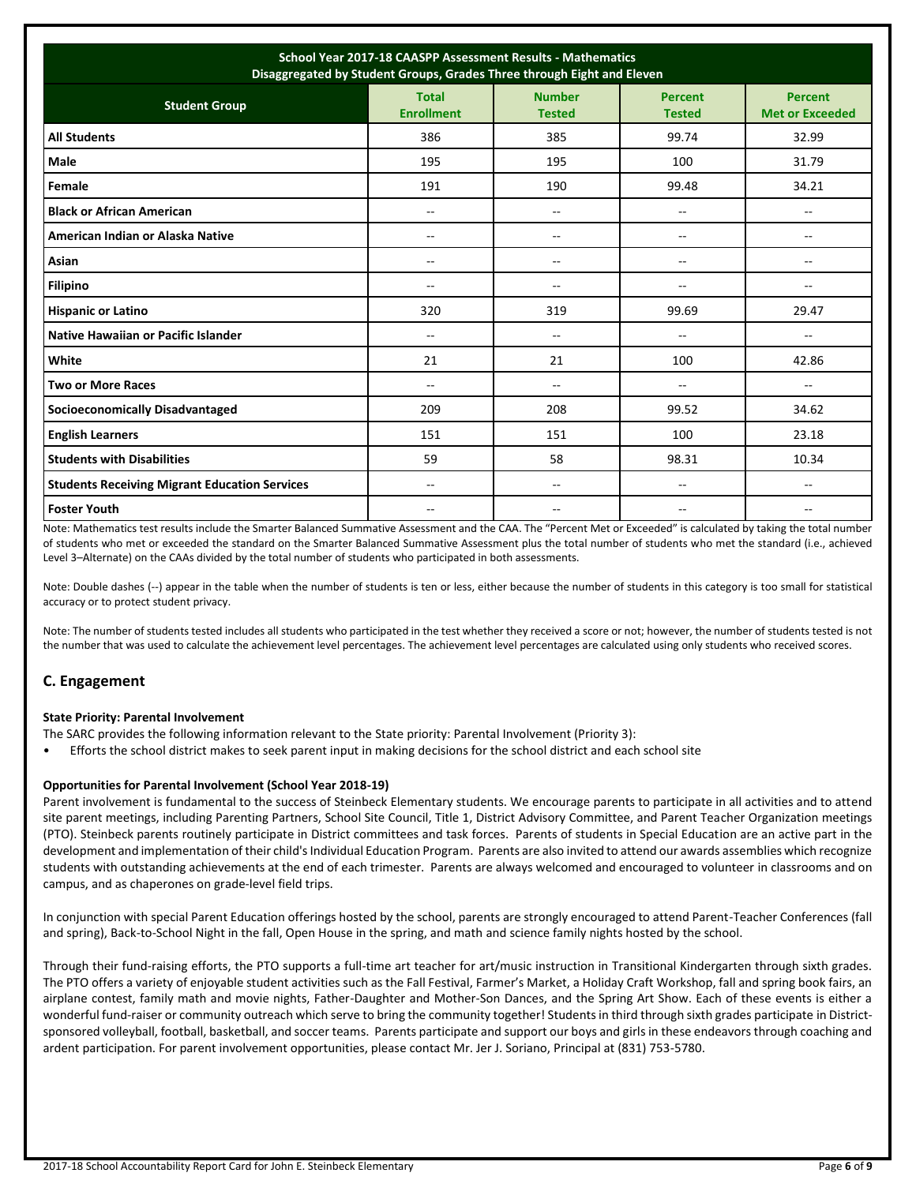| School Year 2017-18 CAASPP Assessment Results - Mathematics<br>Disaggregated by Student Groups, Grades Three through Eight and Eleven |                                   |                                |                                 |                                          |  |
|---------------------------------------------------------------------------------------------------------------------------------------|-----------------------------------|--------------------------------|---------------------------------|------------------------------------------|--|
| <b>Student Group</b>                                                                                                                  | <b>Total</b><br><b>Enrollment</b> | <b>Number</b><br><b>Tested</b> | <b>Percent</b><br><b>Tested</b> | <b>Percent</b><br><b>Met or Exceeded</b> |  |
| <b>All Students</b>                                                                                                                   | 386                               | 385                            | 99.74                           | 32.99                                    |  |
| Male                                                                                                                                  | 195                               | 195                            | 100                             | 31.79                                    |  |
| Female                                                                                                                                | 191                               | 190                            | 99.48                           | 34.21                                    |  |
| <b>Black or African American</b>                                                                                                      | --                                | $\overline{\phantom{a}}$       | --                              | --                                       |  |
| American Indian or Alaska Native                                                                                                      | --                                | $\overline{\phantom{a}}$       | --                              | --                                       |  |
| Asian                                                                                                                                 | $-$                               | $-$                            | $-$                             | $\overline{a}$                           |  |
| <b>Filipino</b>                                                                                                                       | $-$                               | $\overline{\phantom{a}}$       | $-$                             | $\overline{\phantom{a}}$                 |  |
| <b>Hispanic or Latino</b>                                                                                                             | 320                               | 319                            | 99.69                           | 29.47                                    |  |
| Native Hawaiian or Pacific Islander                                                                                                   | $-$                               | $\overline{\phantom{a}}$       | $\overline{a}$                  | $\overline{a}$                           |  |
| White                                                                                                                                 | 21                                | 21                             | 100                             | 42.86                                    |  |
| <b>Two or More Races</b>                                                                                                              | $-$                               | $\overline{\phantom{a}}$       | $\overline{a}$                  | $\sim$ $\sim$                            |  |
| <b>Socioeconomically Disadvantaged</b>                                                                                                | 209                               | 208                            | 99.52                           | 34.62                                    |  |
| <b>English Learners</b>                                                                                                               | 151                               | 151                            | 100                             | 23.18                                    |  |
| <b>Students with Disabilities</b>                                                                                                     | 59                                | 58                             | 98.31                           | 10.34                                    |  |
| <b>Students Receiving Migrant Education Services</b>                                                                                  | --                                | $\overline{\phantom{a}}$       | --                              | --                                       |  |
| <b>Foster Youth</b>                                                                                                                   | $-$                               | $\sim$                         | $-$                             | $\overline{a}$                           |  |

Note: Mathematics test results include the Smarter Balanced Summative Assessment and the CAA. The "Percent Met or Exceeded" is calculated by taking the total number of students who met or exceeded the standard on the Smarter Balanced Summative Assessment plus the total number of students who met the standard (i.e., achieved Level 3–Alternate) on the CAAs divided by the total number of students who participated in both assessments.

Note: Double dashes (--) appear in the table when the number of students is ten or less, either because the number of students in this category is too small for statistical accuracy or to protect student privacy.

Note: The number of students tested includes all students who participated in the test whether they received a score or not; however, the number of students tested is not the number that was used to calculate the achievement level percentages. The achievement level percentages are calculated using only students who received scores.

## **C. Engagement**

### **State Priority: Parental Involvement**

- The SARC provides the following information relevant to the State priority: Parental Involvement (Priority 3):
- Efforts the school district makes to seek parent input in making decisions for the school district and each school site

### **Opportunities for Parental Involvement (School Year 2018-19)**

Parent involvement is fundamental to the success of Steinbeck Elementary students. We encourage parents to participate in all activities and to attend site parent meetings, including Parenting Partners, School Site Council, Title 1, District Advisory Committee, and Parent Teacher Organization meetings (PTO). Steinbeck parents routinely participate in District committees and task forces. Parents of students in Special Education are an active part in the development and implementation of their child's Individual Education Program. Parents are also invited to attend our awards assemblies which recognize students with outstanding achievements at the end of each trimester. Parents are always welcomed and encouraged to volunteer in classrooms and on campus, and as chaperones on grade-level field trips.

In conjunction with special Parent Education offerings hosted by the school, parents are strongly encouraged to attend Parent-Teacher Conferences (fall and spring), Back-to-School Night in the fall, Open House in the spring, and math and science family nights hosted by the school.

Through their fund-raising efforts, the PTO supports a full-time art teacher for art/music instruction in Transitional Kindergarten through sixth grades. The PTO offers a variety of enjoyable student activities such as the Fall Festival, Farmer's Market, a Holiday Craft Workshop, fall and spring book fairs, an airplane contest, family math and movie nights, Father-Daughter and Mother-Son Dances, and the Spring Art Show. Each of these events is either a wonderful fund-raiser or community outreach which serve to bring the community together! Students in third through sixth grades participate in Districtsponsored volleyball, football, basketball, and soccer teams. Parents participate and support our boys and girls in these endeavors through coaching and ardent participation. For parent involvement opportunities, please contact Mr. Jer J. Soriano, Principal at (831) 753-5780.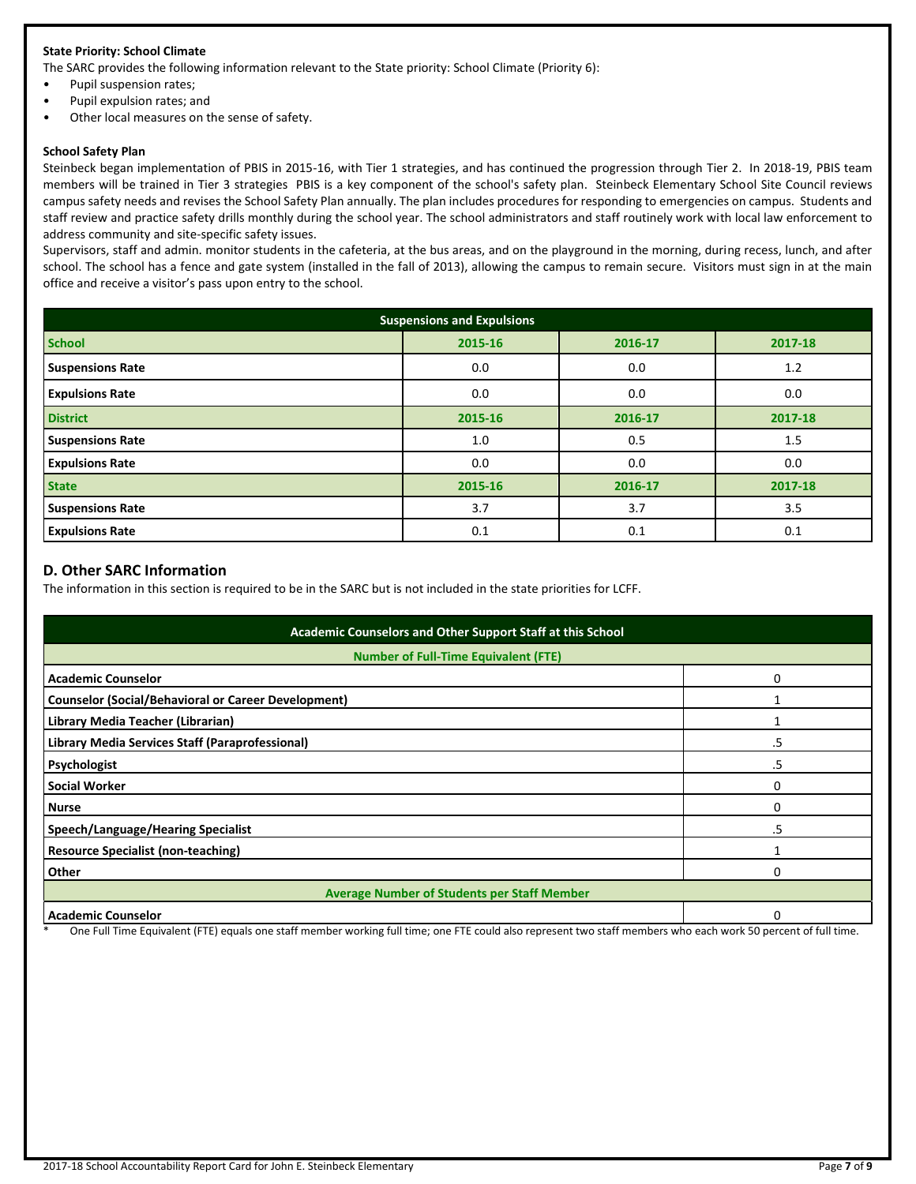## **State Priority: School Climate**

The SARC provides the following information relevant to the State priority: School Climate (Priority 6):

- Pupil suspension rates;
- Pupil expulsion rates; and
- Other local measures on the sense of safety.

#### **School Safety Plan**

Steinbeck began implementation of PBIS in 2015-16, with Tier 1 strategies, and has continued the progression through Tier 2. In 2018-19, PBIS team members will be trained in Tier 3 strategies PBIS is a key component of the school's safety plan. Steinbeck Elementary School Site Council reviews campus safety needs and revises the School Safety Plan annually. The plan includes procedures for responding to emergencies on campus. Students and staff review and practice safety drills monthly during the school year. The school administrators and staff routinely work with local law enforcement to address community and site-specific safety issues.

Supervisors, staff and admin. monitor students in the cafeteria, at the bus areas, and on the playground in the morning, during recess, lunch, and after school. The school has a fence and gate system (installed in the fall of 2013), allowing the campus to remain secure. Visitors must sign in at the main office and receive a visitor's pass upon entry to the school.

| <b>Suspensions and Expulsions</b> |         |         |         |  |  |  |
|-----------------------------------|---------|---------|---------|--|--|--|
| <b>School</b>                     | 2015-16 | 2016-17 | 2017-18 |  |  |  |
| <b>Suspensions Rate</b>           | 0.0     | 0.0     | 1.2     |  |  |  |
| <b>Expulsions Rate</b>            | 0.0     | 0.0     | 0.0     |  |  |  |
| <b>District</b>                   | 2015-16 | 2016-17 | 2017-18 |  |  |  |
| <b>Suspensions Rate</b>           | 1.0     | 0.5     | 1.5     |  |  |  |
| <b>Expulsions Rate</b>            | 0.0     | 0.0     | 0.0     |  |  |  |
| <b>State</b>                      | 2015-16 | 2016-17 | 2017-18 |  |  |  |
| <b>Suspensions Rate</b>           | 3.7     | 3.7     | 3.5     |  |  |  |
| <b>Expulsions Rate</b>            | 0.1     | 0.1     | 0.1     |  |  |  |

## **D. Other SARC Information**

The information in this section is required to be in the SARC but is not included in the state priorities for LCFF.

| Academic Counselors and Other Support Staff at this School |    |  |  |  |
|------------------------------------------------------------|----|--|--|--|
| <b>Number of Full-Time Equivalent (FTE)</b>                |    |  |  |  |
| <b>Academic Counselor</b>                                  | ŋ  |  |  |  |
| <b>Counselor (Social/Behavioral or Career Development)</b> |    |  |  |  |
| Library Media Teacher (Librarian)                          |    |  |  |  |
| Library Media Services Staff (Paraprofessional)            | .5 |  |  |  |
| Psychologist                                               | .5 |  |  |  |
| <b>Social Worker</b>                                       |    |  |  |  |
| <b>Nurse</b>                                               |    |  |  |  |
| Speech/Language/Hearing Specialist                         | 5  |  |  |  |
| <b>Resource Specialist (non-teaching)</b>                  |    |  |  |  |
| Other                                                      |    |  |  |  |
| <b>Average Number of Students per Staff Member</b>         |    |  |  |  |
| <b>Academic Counselor</b>                                  |    |  |  |  |

One Full Time Equivalent (FTE) equals one staff member working full time; one FTE could also represent two staff members who each work 50 percent of full time.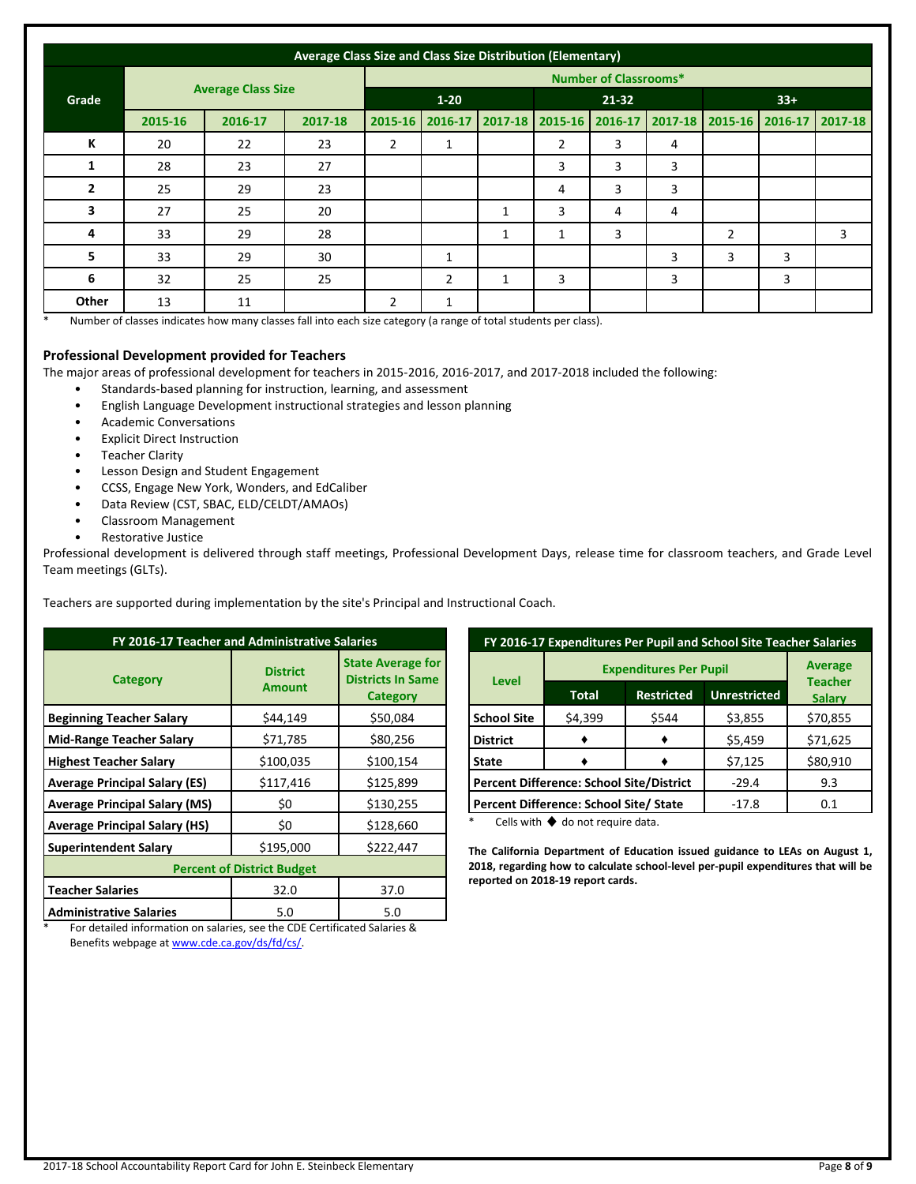|                | Average Class Size and Class Size Distribution (Elementary) |         |          |                              |                |             |                |         |   |                |                                 |   |
|----------------|-------------------------------------------------------------|---------|----------|------------------------------|----------------|-------------|----------------|---------|---|----------------|---------------------------------|---|
|                |                                                             |         |          | <b>Number of Classrooms*</b> |                |             |                |         |   |                |                                 |   |
| Grade          | <b>Average Class Size</b>                                   |         | $1 - 20$ |                              | $21 - 32$      |             |                | $33+$   |   |                |                                 |   |
|                | 2015-16                                                     | 2016-17 | 2017-18  | 2015-16                      | 2016-17        | $2017 - 18$ | 2015-16        | 2016-17 |   |                | 2017-18 2015-16 2016-17 2017-18 |   |
| К              | 20                                                          | 22      | 23       | $\overline{2}$               | 1              |             | $\overline{2}$ | 3       | 4 |                |                                 |   |
| 1              | 28                                                          | 23      | 27       |                              |                |             | 3              | 3       | 3 |                |                                 |   |
| $\overline{2}$ | 25                                                          | 29      | 23       |                              |                |             | 4              | 3       | 3 |                |                                 |   |
| 3              | 27                                                          | 25      | 20       |                              |                | 1           | 3              | 4       | 4 |                |                                 |   |
| 4              | 33                                                          | 29      | 28       |                              |                | 1           | 1              | 3       |   | $\overline{2}$ |                                 | 3 |
| 5              | 33                                                          | 29      | 30       |                              | 1              |             |                |         | 3 | 3              | 3                               |   |
| 6              | 32                                                          | 25      | 25       |                              | $\overline{2}$ |             | 3              |         | 3 |                | 3                               |   |
| Other          | 13                                                          | 11      |          | $\overline{2}$               | 1              |             |                |         |   |                |                                 |   |

\* Number of classes indicates how many classes fall into each size category (a range of total students per class).

### **Professional Development provided for Teachers**

The major areas of professional development for teachers in 2015-2016, 2016-2017, and 2017-2018 included the following:

- Standards-based planning for instruction, learning, and assessment
- English Language Development instructional strategies and lesson planning
- Academic Conversations
- **Explicit Direct Instruction**
- **Teacher Clarity**
- Lesson Design and Student Engagement
- CCSS, Engage New York, Wonders, and EdCaliber
- Data Review (CST, SBAC, ELD/CELDT/AMAOs)
- Classroom Management
- Restorative Justice

Professional development is delivered through staff meetings, Professional Development Days, release time for classroom teachers, and Grade Level Team meetings (GLTs).

Teachers are supported during implementation by the site's Principal and Instructional Coach.

| FY 2016-17 Teacher and Administrative Salaries |                                  |                                                                         |  |  |  |
|------------------------------------------------|----------------------------------|-------------------------------------------------------------------------|--|--|--|
| Category                                       | <b>District</b><br><b>Amount</b> | <b>State Average for</b><br><b>Districts In Same</b><br><b>Category</b> |  |  |  |
| <b>Beginning Teacher Salary</b>                | \$44,149                         | \$50,084                                                                |  |  |  |
| <b>Mid-Range Teacher Salary</b>                | \$71,785                         | \$80,256                                                                |  |  |  |
| <b>Highest Teacher Salary</b>                  | \$100,035                        | \$100,154                                                               |  |  |  |
| <b>Average Principal Salary (ES)</b>           | \$117,416                        | \$125,899                                                               |  |  |  |
| <b>Average Principal Salary (MS)</b>           | \$0                              | \$130,255                                                               |  |  |  |
| <b>Average Principal Salary (HS)</b>           | \$0                              | \$128,660                                                               |  |  |  |
| <b>Superintendent Salary</b>                   | \$195,000                        | \$222,447                                                               |  |  |  |
| <b>Percent of District Budget</b>              |                                  |                                                                         |  |  |  |
| <b>Teacher Salaries</b>                        | 32.0                             | 37.0                                                                    |  |  |  |
| <b>Administrative Salaries</b>                 | 5.0                              | 5.0                                                                     |  |  |  |

| FY 2016-17 Expenditures Per Pupil and School Site Teacher Salaries |                               |                   |                     |                                 |  |
|--------------------------------------------------------------------|-------------------------------|-------------------|---------------------|---------------------------------|--|
|                                                                    | <b>Expenditures Per Pupil</b> | <b>Average</b>    |                     |                                 |  |
| <b>Level</b>                                                       | <b>Total</b>                  | <b>Restricted</b> | <b>Unrestricted</b> | <b>Teacher</b><br><b>Salary</b> |  |
| <b>School Site</b>                                                 | \$4,399                       | \$544             | \$3,855             | \$70,855                        |  |
| <b>District</b>                                                    |                               |                   | \$5,459             | \$71,625                        |  |
| <b>State</b>                                                       |                               |                   | \$7,125             | \$80,910                        |  |
| <b>Percent Difference: School Site/District</b>                    |                               |                   | $-29.4$             | 9.3                             |  |
| Percent Difference: School Site/ State                             |                               |                   | $-17.8$             | 0.1                             |  |

Cells with  $\blacklozenge$  do not require data.

**The California Department of Education issued guidance to LEAs on August 1, 2018, regarding how to calculate school-level per-pupil expenditures that will be reported on 2018-19 report cards.**

\* For detailed information on salaries, see the CDE Certificated Salaries & Benefits webpage a[t www.cde.ca.gov/ds/fd/cs/.](http://www.cde.ca.gov/ds/fd/cs/)